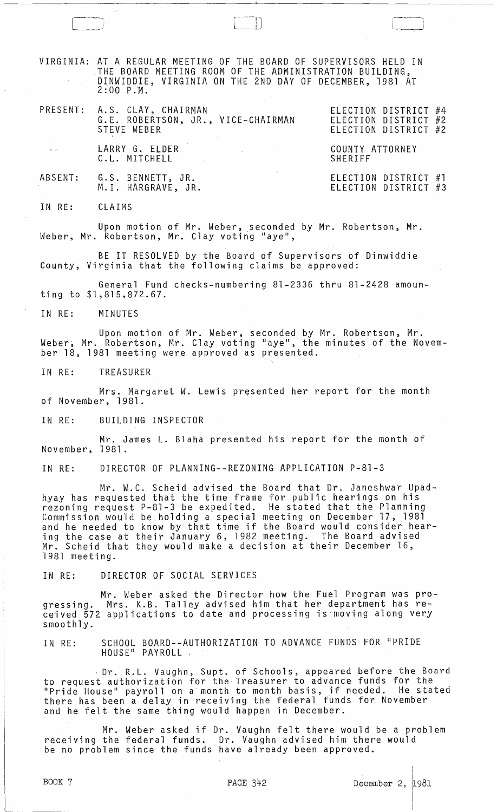VIRGINIA: AT A REGULAR MEETING OF THE BOARD OF SUPERVISORS HELD IN THE BOARD MEETING ROOM OF THE ADMINISTRATION BUILDING, DINWIDDIE, VIRGINIA ON THE 2ND DAY OF DECEMBER, 1981 AT 2:00 P.M.

|                | PRESENT: A.S. CLAY, CHAIRMAN<br>G.E. ROBERTSON, JR., VICE-CHAIRMAN<br>STEVE WEBER                                                                  | ELECTION DISTRICT #4<br>ELECTION DISTRICT #2<br>ELECTION DISTRICT #2 |
|----------------|----------------------------------------------------------------------------------------------------------------------------------------------------|----------------------------------------------------------------------|
| <b>Service</b> | LARRY G. ELDER<br>the contract of the contract of the contract of the contract of the contract of the contract of the contract of<br>C.L. MITCHELL | COUNTY ATTORNEY<br>SHERIFF                                           |
|                | ABSENT: G.S. BENNETT, JR.<br>M.I. HARGRAVE, JR.                                                                                                    | ELECTION DISTRICT #1<br>ELECTION DISTRICT #3                         |

IN RE: CLAIMS

Upon motion of Mr. Weber, seconded by Mr. Robertson, Mr. Weber, Mr. Robertson, Mr. Clay voting "aye",

BE IT RESOLVED by the Board of Supervisors *bf* Dinwiddie County, Virginia that the following claims be approved:

General Fund checks-numbering 81-2336 thru 81-2428 amounting to \$1,815,872.67.

IN RE: MINUTES

Upon motion of Mr. Weber, seconded by Mr. Robertson, Mr. Weber, Mr. Robertson, Mr. Clay voting "aye", the minutes of the November 18, 1981 meeting were approved as presented.

IN RE: TREASURER

Mrs. Margaret W. Lewis presented her report for the month of November, 1981.

IN RE: BUILDING INSPECTOR

Mr. James L. Blaha presented his report for the month of November, 1981.

IN RE: DIRECTOR OF PLANNING--REZONING APPLICATION P-81-3

Mr. W.C. Scheid advised the Board that Dr. Janeshwar Upadhyay has reqUested that the time frame for public hearings on his rezonlng request P-81-3 be expedited. He stated that the Planning Commission would be holding a special meeting on December 17, 1981 and he needed to know by that time if the Board would consider hearing the case at their January 6, 1982 meeting. The Board advised Mr. Scheid that they would make a decision at their December 16, 1981 meeting.

IN RE: DIRECTOR OF SOCIAL SERVICES

Mr. Weber asked the Director how the Fuel Program was progressing. Mrs. K.B. Talley advised him that her department has regressing. Mrs. K.B. Talley advised him that her department has re-<br>ceived 572 applications to date and processing is moving along very smoothly.

IN RE: SCHOOL BOARD--AUTHORIZATION TO ADVANCE FUNDS FOR "PRIDE HOUSE" PAYROLL,

. Dr. R.L. Vaughn, Supt. of Schools, appeared before the Board to request authorization for the Treasurer to advance funds for the "Pride House" payroll on a month to month basis, if needed. He stated there has been a delay in receiving the federal funds for November and he felt the same thing would happen in December.

Mr. Weber asked if Dr. Vaughn felt there would be a problem receiving the federal funds. Dr. Vaughn advised him there would be no problem since the funds have already been approved.

 $\mathbf{I}$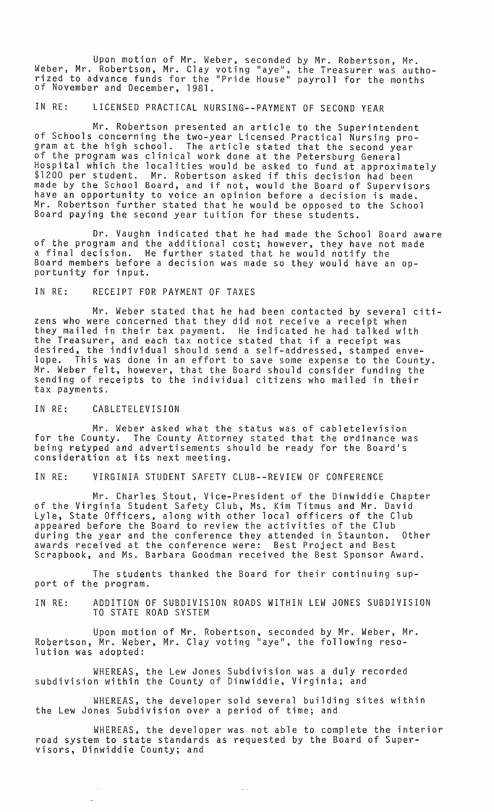Upon motion of Mr. Weber, seconded by Mr. Robertson, Mr. Weber, Mr. Robertson, Mr. Clay voting "aye", the Treasurer was authorized to advance funds for the "Pride House" payroll for the months of November and December, 1981.

IN RE: LICENSED PRACTICAL NURSING--PAYMENT OF SECOND YEAR

Mr. Robertson presented an article to the Superintendent of Schools concerning the two-year Licensed Practical Nursing pro-The article stated that the second year of the program was clinical work done at the Petersburg General Hospital which the localities would be asked to fund at approximately \$1200 per student. Mr. Robertson asked if this decision had been \$1200 per student. Mr. Robertson asked if this decision had been<br>made by the School Board, and if not, would the Board of Supervisors have an opportunity to voice an opinion before a decision is made. Mr. Robertson further stated that he would be opposed to the School Board paying the second year tuition for these students.

Dr. Vaughn indicated that he had made the School Board aware of the program and the additional cost; however, they have not made a final decision. He further stated that he would notify the Board members before a decision was made so they would have an op-<br>portunity for input.

IN RE: RECEIPT FOR PAYMENT OF TAXES

Mr. Weber stated that he had been contacted by several citizens who were concerned that they did not receive a receipt when they mailed in their tax payment. He indicated he had talked with the Treasurer, and each tax notice stated that if a receipt was desired, the individual should send a self-addressed, stamped envelope. This was done in an effort to save some expense to the County. Mr. Weber felt, however, that the Board should consider funding the sending of receipts to the individual citizens who mailed in their tax payments.

IN RE: CABLETELEVISION

Mr. Weber asked what the status was of cabletelevision for the County. The County Attorney stated that the ordinance was being retyped and advertisements should be ready for the Board's consideration at its next meeting.

IN RE: VIRGINIA STUDENT SAFETY CLUB--REVIEW OF CONFERENCE

Mr. Charles Stout, Vice-President of the Dinwiddie Chapter of the Virginia Student Safety Club, Ms. Kim Titmus and Mr. David Lyle, State Officers, along with other local officers of the Club appeared before the Board to review the activities of the Club during the year and the conference they attended in Staunton. Other awards received at the conference were: Best Project and Best Scrapbook, and Ms. Barbara Goodman received the Best Sponsor Award.

The students thanked the Board for their continuing support of the program.

IN RE: ADDITION OF SUBDIVISION ROADS WITHIN LEW JONES SUBDIVISION TO STATE ROAD SYSTEM

Upon motion of Mr. Robertson, seconded by Mr. Weber, Mr. Robertson, Mr. Weber, Mr. Clay voting "aye", the following resolution was adopted:

WHEREAS, the Lew Jones Subdivision was a duly recorded subdivision within the County of Dinwiddie, Virginia; and

WHEREAS, the developer sold several building sites within the Lew Jones Subdivision over a period of time; and

WHEREAS, the developer was not able to complete the interior road system to state standards as requested by the Board of Supervisors, Dinwiddie County; and

 $\omega$   $\sim$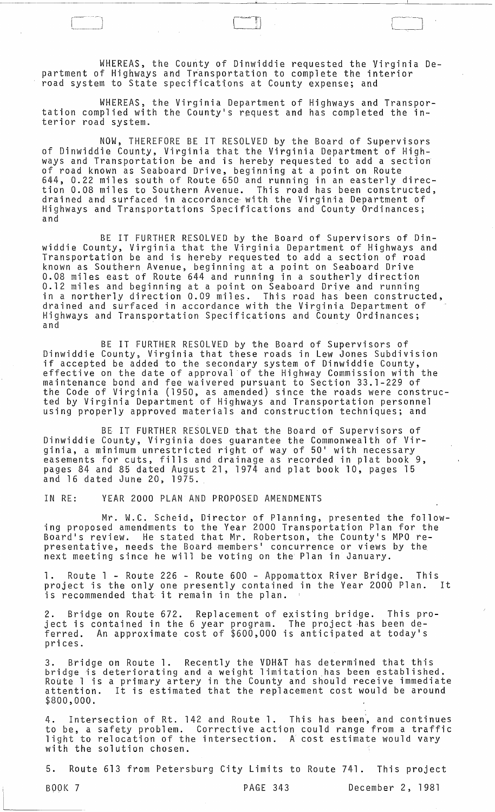WHEREAS, the County of Dinwiddie requested the Virginia Department of Highways and Transportation to complete the interior road system to State specifications at County expense; and

WHEREAS, the Virginia Department of Highways and Transportation complied with the County's request and has completed the interior road system.

NOW, THEREFORE BE IT RESOLVED by the Board of Supervisors of Dinwiddie County, Virginia that the Virginia Department of Highways and Transportation be and is hereby requested to add a section of road known as Seaboard Drive, beginning at a point on Route 644, 0.22 miles south of Route 650 and running in an easterly direction 0.08 miles to Southern Avenue. This road has been constructed, drained and surfaced in accordance- with the Virginia Department of Highways and Transportations Specifications and County Ordinances; and

BE IT FURTHER RESOLVED by the Board of Supervisors of Dinwiddie County, Virginia that the Virginia Department of Highways and Transportation be and is hereby requested to add a section of road known as Southern Avenue, beginning at a point on Seaboard Drive 0.08 miles east of Route 644 and running in a southerly direction 0.12 miles and beginning at a point on Seaboard Drive and running in a northerly direction 0.09 miles. This road has been constructed, drained and surfaced in accordance with the Virginia Department of Highways and Transportation Specifications and County Ordinances;

BE IT FURTHER RESOLVED by the Board of Supervisors of Dinwiddie County, Virginia that these roads in Lew Jones Subdivision if accepted be added to the secondary system of Dinwiddie County, effective on the date of approval of the Highway Commission with the maintenance bond and fee waivered pursuant to Section 33.1-229 of the Code of Virginia (1950, as amended) since the roads were constructed by Virginia Department of Highways and Transportation personnel<br>using properly approved materials and construction techniques; and

BE IT FURTHER RESOLVED that the Board of Supervisors of Dinwiddie County, Virginia does guarantee the Commonwealth of Virginia, a minimum unrestricted right of way of 50' with necessary easements for cuts, fills and drainage as recorded in plat book 9, pages 84 and 85 dated August 21, 1974 and plat book 10, pages 15 and 16 dated June 20, 1975.

IN RE: YEAR 2000 PLAN AND PROPOSED AMENDMENTS

Mr. W.C. Scheid, Director of Planning, presented the following proposed amendments to the Year 2000 Transportation Plan for the Board's review. He stated that Mr. Robertson, the County's MPO representative, needs the Board members' concurrence or views by the next meeting since he will be voting on the Plan in January.

1. Route 1 - Route 226 - Route 600 - Appomattbx River Bridge. This project is the only one presently contained in the Year 2000 Plan. is recommended that it remain in the plan.

2. Bridge on Route 672. Replacement of existing bridge. This proi. Bridge on heade of I. Heptacements of existing errage. This pr ferred. An approximate cost of \$600,000 is anticipated at today's prices.

3. Bridge on Route 1. Recently the VDH&T has determined that this bridge is deteriorating and a weight limitation has been established. Route 1 is a primary artery in the County and should receive immediate attention. It is estimated that the replacement cost would be around \$800,000.

4. Intersection of Rt. 142 and Route 1. This has been, and continues to be, a safety problem. Corrective action could range from a traffic light to relocation of the intersection. A cost estimate would vary with the solution chosen.

5. Route 613 from Petersburg City Limits to Route 741. This project

BOO[( 7 PAGE 343 December 2, 1981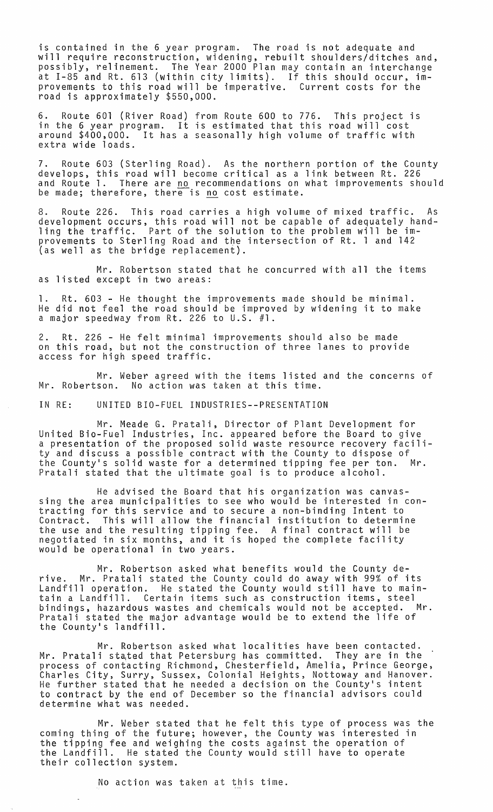is contained in the 6 year program. The road is not adequate and will require reconstruction, widening, rebuilt shoulders/ditches and, possibly, relinement. The Year 2000 Plan may contain an interchange at 1-85 and Rt. 613 (within city limits). If this should occur, improvements to this road will be imperative. Current costs for the road is approximately \$550,000.

6. Route 601 (River Road) from Route 600 to 776. This project is in the 6 year program. It is estimated that this road will cost around \$400,000. It has a seasonally high *volume* of traffic with extra wide loads.

7. Route 603 (Sterling Road). As the northern portion of the County develops, this road will become critical as a link between Rt. 226 and Route 1. There are <u>no</u> recommendations on what improvements should be made; therefore, there is no cost estimate.

8. Route 226. This road carries a high *volume* of mixed traffic. As development occurs, this road will not be capable of adequately handling the traffic. Part of the solution to the problem will be improvements to Sterling Road and the intersection of Rt. 1 and 142 (as well as the bridge replacement).

Mr. Robertson stated that he concurred with all the items as listed except in two areas:

1. Rt. 603 - He thought the improvements made should be minimal. He did not feel the road should be improved by widening it to make a major speedway from Rt. 226 to U.S. #1.

2. Rt. 226 - He felt minimal improvements should also be made on this road, but not the construction of three lanes to provide access for high speed traffic.

Mr. Weber agreed with the items listed and the concerns of Mr. Robertson. No action was taken at this time.

IN RE: UNITED BIO-FUEL INDUSTRIES--PRESENTATION

Mr. Meade G. Pratali, Director of Plant Development for United Bio-Fuel Industries, Inc. appeared before the Board to give a presentation of the proposed solid waste resource recovery facility and discuss a possible contract with the County to dispose of the County's solid waste for a determined tipping fee per ton. Mr. Pratali stated that the ultimate goal is to produce alcohol.

He advised the Board that his organization was canvassing the area municipalities to see who would be interested in contracting for this service and to secure a non-binding Intent to Contract. This will allow the financial institution to determine the use and the resulting tipping fee. A final contract will be negotiated in six months, and it is hoped the complete facility would be operational in two years.

Mr. Robertson asked what benefits would the County derive. Mr. Pratali stated the County could do away with 99% of its Landfill operation. He stated the County would still have to maintain a Landfill. Certain items such as construction items, steel bindings, hazardous wastes and chemicals would not be accepted. Pratali stated the major advantage would be to extend the life of the County's landfill.

Mr. Robertson asked what localities have been contacted. Mr. Pratali stated that Petersburg has committed. They are in the process of contacting Richmond, Chesterfield, Amelia, Prince George, Charles City, Surry, Sussex, Colonial Heights, Nottoway and Hanover. He further stated that he needed a decision on the County's intent to contract by the end of December so the financial advisors could determine what was needed.

Mr. Weber stated that he felt this type of process was the coming thing of the future; however, the County was interested in the tipping fee and weighing the costs against the operation of the Landfill. He stated the County would still have to operate their collection system.

No action was taken at this time.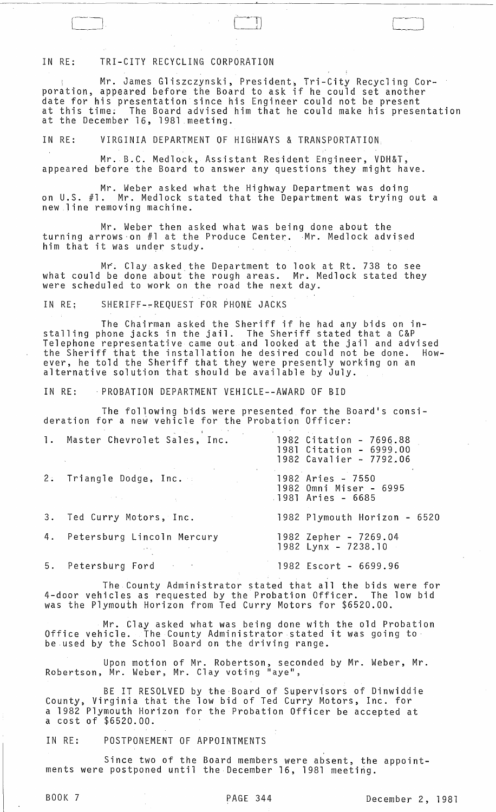## IN RE: TRI-CITY RECYCLING CORPORATION

Mr. James Gliszczynski, President~ Tri-City Recycling Corporation, appeared before the Board to ask if he could set another date for his presentation since his Engineer could not be present at this time; The Board advised him that he could make his presentation at the December 16, 1981 meeting.

IN RE: VIRGINIA DEPARTMENT OF HIGHWAYS & TRANSPORTATION.

Mr. B.C. Medlock, Assistant Resident Engineer, VDH&T, appeared before the Board to answer any questions they might have.

Mr. Weber asked what the Highway Department was doing on u.S. #1. Mr. Medlock stated that the Department was trying out a new line removing machine.

Mr. Weber then asked what was being done about the turning arrows on #1 at the Produce Center. Mr. Medlock advised him that it was under study.

Mr. Clay asked,the Department to look at Rt. 738 to see what could be done about the rough areas. Mr. Medlock stated they were scheduled to work on the road the next day.

IN RE; SHERIFF-~REQUEST FOR PHONE JACKS

The Chairman asked the Sheriff if he had any bids on installing phone jacks in the jail. The Sheriff stated that a C&P Telephone representative came out and looked at the jail and advised the Sheriff that the installation he desired could not be done. However, he told the Sheriff that they were presently working on an alternative solution that should be available by July .

IN RE: . PROBATION DEPARTMENT VEHICLE--AWARD OF BID

The following bids were presented for the Board's consideration for a new vehicle for the Probation Officer:

|    | 1. Master Chevrolet Sales, Inc.                                | 1982 Citation - 7696.88<br>1981 Citation - 6999.00<br>1982 Cavalier - 7792.06 |
|----|----------------------------------------------------------------|-------------------------------------------------------------------------------|
| 2: | Triangle Dodge, Inc.<br>the control of the control of the con- | 1982 Aries - 7550<br>1982 Omni Miser - 6995<br>1981 Aries - 6685              |
| 3. | Ted Curry Motors, Inc.                                         | 1982 Plymouth Horizon - 6520                                                  |
| 4. | Petersburg Lincoln Mercury                                     | 1982 Zepher - 7269.04<br>$1982$ Lynx - $7238.10$                              |
| 5. | Petersburg Ford<br>$\mathcal{F}$                               | 1982 Escort - 6699.96                                                         |

The County Administrator stated that all the bids were for 4-door vehicles as requested by the Probation Officer. The low bid was the Plymouth Horizon from Ted Curry Motors for \$6520.00.

Mr. Clay asked what was being done with the old Probation office vehicle. The County Administrator stated it was going to:<br>Office vehicle. The County Administrator stated it was going to be used by the School Board on the driving range.

Upon motion of Mr. Robertson, seconded by Mr. Weber, Mr. Robertson, Mr. Weber, Mr. Clay voting "aye",

BE IT RESOLVED by the Board of Supervisors of Dinwiddie County, Virginia that the low bid of Ted Curry Motors, Inc. for a 1982 Plymouth Horizon for the Probation Officer be accepted at a cost of \$6520.00.

IN RE: POSTPONEMENT OF APPOINTMENTS

Since two of the Board members were absent, the appointments were postponed until the December 16, 1981 meeting.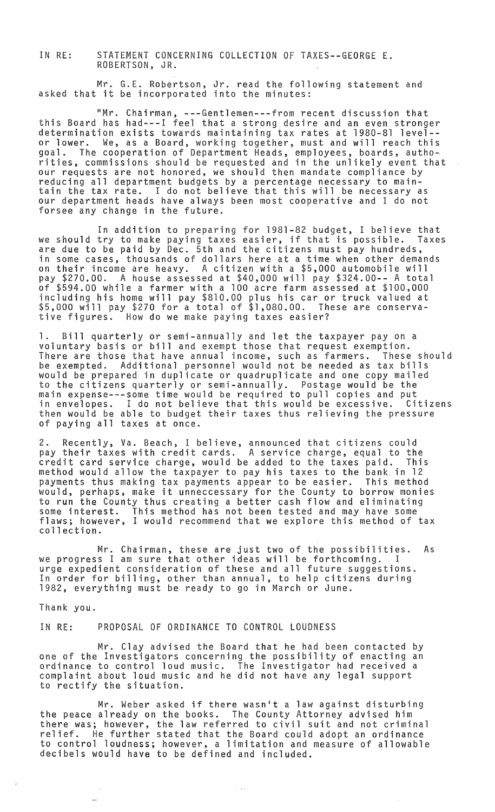IN RE: STATEMENT CONCERNING COLLECTION OF TAXES--GEORGE E. ROBERTSON, JR.

Mr. G.E. Robertson, Jr. read the following statement and asked that it be incorporated into the minutes:

"Mr. Chairman, ---Gentlemen---from recent discussion that this Board has had---I feel that a strong desire and an even stronger determination exists towards maintaining tax rates at 1980-81 level- or lower. We, as a Board, working together, must and will reach this goal. The cooperation of Department Heads, employees, boards, authorities, commissions should be requested and in the unlikely event that our requests are not honored, we should then mandate compliance by<br>reducing all department budgets by a percentage necessary to mainreducing all department budgets by a percentage necessary to main-<br>tain the tax rate. I do not believe that this will be necessary as our department heads have always been most cooperative and I do not forsee any change in the future.

In addition to preparing for 1981-82 budget, I believe that we should try to make paying taxes easier, if that is possible. Taxes are due to be paid by Dec. 5th and the citizens must pay hundreds, in some cases, thousands of dollars here at a time when other demands on their income are heavy. A citizen with a \$5,000 automobile will pay \$270.00. A house assessed at \$40,000 will pay \$324.00-- A total of \$594.00 while a farmer with a 100 acre farm assessed at \$100,000 including his home will pay \$810.00 plus his car or truck valued at \$5,000 will pay \$270 for a total of \$1,080.00. These are conservative figures. How do we make paying taxes easier?

1. Bill quarterly or semi-annually and let the taxpayer pay on a voluntary basis or bill and exempt those that request exemption. There are those that have annual income, such as farmers. These should be exempted. Additional personnel would not be needed as tax bills would be prepared in duplicate or quadruplicate and one copy mailed to the citizens quarterly or semi-annually. Postage would be the main expense---some time would be required to pull copies and put<br>in envelopes. I do not believe that this would be excessive. Citizens in envelopes. I do not believe that this would be excessive. Citizens<br>then would be able to budget their taxes thus relieving the pressure of paying all taxes at once.

2. Recently, Va. Beach, I believe, announced that citizens could pay their taxes with credit cards. A service charge, equal to the credit card service charge, would be added to the taxes paid. This method would allow the taxpayer to pay his taxes to the bank in 12 payments thus making tax payments appear to be easier. This method would, perhaps, make it unneccessary for the County to borrow monies to run the County thus creating a better cash flow and eliminating some interest. This method has not been tested and may have some flaws; however, I would recommend that we explore this method of tax collection.

Mr. Chairman, these are just two of the possibilities. As we progress I am sure that other ideas will be forthcoming. I urge expedient consideration of these and all future suggestions. In order for billing, other than annual, to help citizens during 1982, everything must be ready to go in March or June.

Thank you.

IN RE: PROPOSAL OF ORDINANCE TO CONTROL LOUDNESS

Mr. Clay advised the Board that he had been contacted by one of the Investigators concerning the possibility of enacting an ordinance to control loud music. The Investigator had received a complaint about loud music and he did not have any legal support to rectify the situation.

Mr. Weber asked if there wasn't a law against disturbing the peace already on the books. The County Attorney advised him there was; however, the law referred to civil suit and not criminal relief. He further stated that the Board could adopt an ordinance to control loudness; however, a limitation and measure of allowable decibels would have to be defined and included.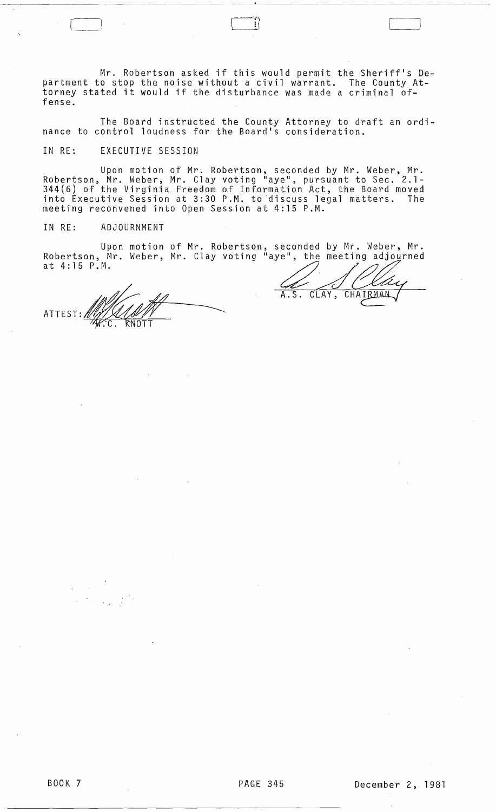Mr. Robertson asked if this would permit the Sheriff's Department to stop the noise without a civil warrant. The County Attorney stated it would if the disturbance was made a criminal offense.

The Board instructed the County Attorney to draft an ordinance to control loudness for the Board's consideration.

IN RE: EXECUTIVE SESSION

Upon motion of Mr. Robertson, seconded by Mr. Weber, Mr. Robertson, Mr. Weber, Mr. Clay voting "aye", pursuant to Sec. 2.1- 344(6) of the Virginia Freedom.o.f Information Act, the Board moved into Executive Session at 3:30 P.M. to discuss legal matters. The meeting reconvened into Open Session at 4:15 P.M.

IN RE: ADJOURNMENT

Upon motion of Mr. Robertson, seconded by Mr. Weber, Mr. Robertson, Mr. Weber, Mr. Clay voting "aye", the meeting adjourned Upon motion of Mr. Robertson, seconded by Mr. Web<br>Robertson, Mr. Weber, Mr. Clay voting "aye", the meeting ad<br>at 4:15 P.M.

ATTEST: MANA

CHAIRMAN CLAY,

r  $\overline{r}$